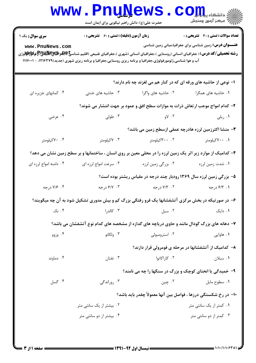## WWW.PnuNews.com ے ہے۔<br>\|*||ال*امین وسنجش حضرت علی(ع): دانش راهبر نیکویی برای ایمان است **تعداد سوالات : تستي : 30 - تشريحي : 0** سری سوال: یک ۱ **زمان آزمون (دقیقه) : تستی : ۶۰ تشریحی: 0 عنـــوان درس:** زمین شناسی برای جغرافیا،مبانی زمین شناسی www.PnuNews.com **رشته تحصیلی/کد درس:** ( جغرافیای انسانی (روستایی )،جغرافیای انسانی (شهری )،جغرافیای طبیعی (اقلیم شناس**یخ پایلانیالات پر اقلابلاتا تو پر اقلابلات** تو پر اقلابلات به این مورثی آب و هوا شناسی،ژئومورفولوژی،جغرافیا و برنامه ریزی روستایی،جغرافیا و برنامه ریزی شهری (جدید)۲۱۶۳۷۹، - ۱۱۱۶۰۰۱ ا- نوعی از حاشیه های ورقه ای که در کنار هم می لغزند چه نام دارند؟ ۰۴ کمانهای جزیره ای ۰۳ حاشیه های خنثی ۰۱ حاشیه های همگرا مسلسله های واگرا ۲- کدام امواج موجب ارتعاش ذرات به موازات سطح افق و عمود بر جهت انتشار می شوند؟ ۰۴ عرضی ۰۳ طولی  $\sim$   $\sqrt{}$ ۰۱ ریلی ٣- منشا اكثرزمين لرزه هادرچه عمقي ازسطح زمين مي باشد؟ ۰۳ کیلومتر ۰۱ ۷۰۰ کیلومتر ۰۰ ۷۰کیلومتر ۰۲ ۳۰۰ کیلومتر ۴- کدامیک از موارد زیر اثر یک زمین لرزه را در محلی معین بر روی انسان ، ساختمانها و بر سطح زمین نشان می دهد؟ ۰۳ سرعت امواج لرزه ای ۰۲ بزرگی زمین لرزه ۰۴ دامنه امواج لرزه ای ۰۱ شدت زمین لرزه ۵- بزرگی زمین لرزه سال ۱۳۶۹ رودبار چند درجه در مقیاس ریشتر بوده است؟ ۰۱. ۶/۳. د, جه ۰۴ ۷/۶ د, جه ۰۳ /۶/۷ د, *ح*ه ۰۲ ۷/۳ د, جه ۶- در صورتیکه در بخش مرکزی آتشفشانها یک فرو رفتگی بزرگ کم و بیش مدوری تشکیل شود به آن چه میگویند؟ ۰۴ نک ۰۳ کالد,۱ .  $\mathsf{r}$  سيل $\mathsf{r}$ ۰۱ دایک ۷– دهانه های بزرگ گودال مانند و حاوی دریاچه های گدازه از مشخصه های کدام نوع آتشفشان می باشد؟ ۰۳ ولکانو ۰۲ استرومبولی ۰۴ وزوو ۰۱ هاوایی ۸– کدامیک از آتشفشانها در مرحله ی فومرولی قرار دارند؟ ۰۲ کا,اکاتوا ۰۴ دماوند ۰۳ تفتان ۰۱ سبلان ۹- خمیدگی یا انحنای کوچک و بزرگ در سنگها را چه می نامند؟ ۰۴ گسا ۰۳ روراندگی ۰۲ چين ۰۱ سطوح مایل ۱۰– در رخ شکستگی درزها ، فواصل بین آنها معمولاً چقدر باید باشد؟ ۰۲ بیشتر از یک سانتی متر ۰۱ کمتر از یک سانتی متر

۰۴ بیشتر از دو سانتی متر ۰۳ کمتر از دو سانتی متر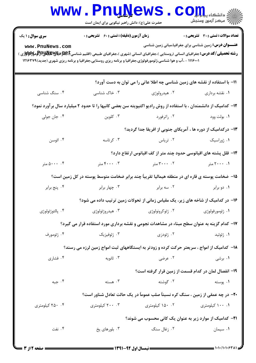|                                                                                                                                                                                        | <b>www.PnuNews.</b><br>حضرت علی(ع): دانش راهبر نیکویی برای ایمان است                                          |                                                                                        | في دانشڪا <b>، پياپايال</b>                                   |  |  |  |
|----------------------------------------------------------------------------------------------------------------------------------------------------------------------------------------|---------------------------------------------------------------------------------------------------------------|----------------------------------------------------------------------------------------|---------------------------------------------------------------|--|--|--|
| <b>سری سوال :</b> ۱ یک                                                                                                                                                                 | <b>زمان آزمون (دقیقه) : تستی : 60 ٪ تشریحی : 0</b>                                                            |                                                                                        | <b>تعداد سوالات : تستی : 30 ٪ تشریحی : 0</b>                  |  |  |  |
| www.PnuNews.com<br><b>رشته تحصیلی/کد درس:</b> جغرافیای انسانی (روستایی )،جغرافیای انسانی (شهری )،جغرافیای طبیعی (اقلیم شناسیEباطولاییالایالایالایالایالایالایالایی از استانی تران<br>. | ۱۱۱۶۰۰۱ - ،آب و هوا شناسی،ژئومورفولوژی،جغرافیا و برنامه ریزی روستایی،جغرافیا و برنامه ریزی شهری (جدید)۱۲۱۶۳۷۹ |                                                                                        | <b>عنـــوان درس:</b> زمین شناسی برای جغرافیا،مبانی زمین شناسی |  |  |  |
|                                                                                                                                                                                        |                                                                                                               | 11- با استفاده از نقشه های زمین شناسی چه اطلا عاتی را می توان به دست آورد؟             |                                                               |  |  |  |
| ۰۴ سنگ شناسی                                                                                                                                                                           | ۰۳ خاک شناسی                                                                                                  | ۰۲ هیدرولوژی                                                                           | ۰۱ نقشه برداري                                                |  |  |  |
| ۱۲– کدامیک از دانشمندان ، با استفاده از روش رادیو اکتیویته سن بعضی کانیها را تا حدود ۲ میلیارد سال برآورد نمود؟                                                                        |                                                                                                               |                                                                                        |                                                               |  |  |  |
| ۰۴ جان جولی                                                                                                                                                                            | ۰۳ کلوین                                                                                                      | ۰۲ راترفورد                                                                            | ۰۱ بولت وود                                                   |  |  |  |
| ۱۳– درکدامیک از دوره ها ، آمریکای جنوبی از افریقا جدا گردید؟                                                                                                                           |                                                                                                               |                                                                                        |                                                               |  |  |  |
| ۰۴ ائوسن                                                                                                                                                                               | ۰۳ کرتاسه                                                                                                     | ۰۲ تریاس                                                                               | ۰۱ ژوراسیک                                                    |  |  |  |
|                                                                                                                                                                                        |                                                                                                               | ۱۴– قلل پشته های اقیانوسی حدود چند متر از کف اقیانوس ارتفاع دارد؟                      |                                                               |  |  |  |
| ۰۰، ۵۰۰۰ متر                                                                                                                                                                           | ۰۴ . ۴۰۰۰ متر                                                                                                 | ۲. ۳۰۰۰ متر                                                                            | ۰. ۲۰۰۰ متر                                                   |  |  |  |
| ۱۵– ضخامت پوسته ی قاره ای در منطقه هیمالیا تقریبآ چند برابر ضخامت متوسط پوسته در کل زمین است؟                                                                                          |                                                                                                               |                                                                                        |                                                               |  |  |  |
| ۰۴ پنج برابر                                                                                                                                                                           | ۰۳ چهار برابر                                                                                                 | ۰۲ سه برابر                                                                            | ۰۱ دو برابر                                                   |  |  |  |
|                                                                                                                                                                                        | ۱۶– در کدامیک از شاخه های زیر، یک مقیاس زمانی از تحولات زمین ترتیب داده می شود؟                               |                                                                                        |                                                               |  |  |  |
| ۰۴ پالئوژئولوژی                                                                                                                                                                        | ۰۳ هیدروژئولوژی                                                                                               | ۰۲ ژئوکرونولوژی                                                                        | ۰۱ ژئومورفولوژی                                               |  |  |  |
| ۱۷– کدام گزینه به عنوان سطح مبناء در مشاهدات نجومی و نقشه برداری مورد استفاده قرار می گیرد؟                                                                                            |                                                                                                               |                                                                                        |                                                               |  |  |  |
| ۰۴ ژئومورف                                                                                                                                                                             | ۰۳ ژئوفيزيک                                                                                                   | ۰۲ ژئودزی                                                                              | ۰۱ ژئوئید                                                     |  |  |  |
| ۱۸– کدامیک از امواج ، سریعتر حرکت کرده و زودتر به ایستگاههای ثبت امواج زمین لرزه می رسند؟                                                                                              |                                                                                                               |                                                                                        |                                                               |  |  |  |
| ۰۴ فشاری                                                                                                                                                                               | ۰۳ ثانویه                                                                                                     | ۰۲ عرضی                                                                                | ۰۱ برشی                                                       |  |  |  |
|                                                                                                                                                                                        |                                                                                                               | ۱۹- انفصال لمان در کدام قسمت از زمین قرار گرفته است؟                                   |                                                               |  |  |  |
| ۰۴ جبه                                                                                                                                                                                 | ۰۳ هسته                                                                                                       | ۰۲ گوشته                                                                               | ۰۱ پوسته                                                      |  |  |  |
|                                                                                                                                                                                        |                                                                                                               | <b>۲۰</b> - در چه عمقی از زمین ، سنگ کره نسبتاً صلب عموماً در یک حالت تعادل شناور است؟ |                                                               |  |  |  |
| ۰۴ کیلومتری                                                                                                                                                                            | ۰. ۲۰۰ کیلومتری                                                                                               | ۰۲ ۱۵۰ کیلومتری                                                                        | ۰. ۱۰۰ کیلومتری                                               |  |  |  |
| <b>۲۱</b> – کدامیک از موارد زیر به عنوان یک کانی محسوب می شوند؟                                                                                                                        |                                                                                                               |                                                                                        |                                                               |  |  |  |
| ۰۴ نفت                                                                                                                                                                                 | ۰۳ بلورهای یخ                                                                                                 | ۰۲ زغال سنگ                                                                            | ۰۱ سیمان                                                      |  |  |  |
|                                                                                                                                                                                        |                                                                                                               |                                                                                        |                                                               |  |  |  |